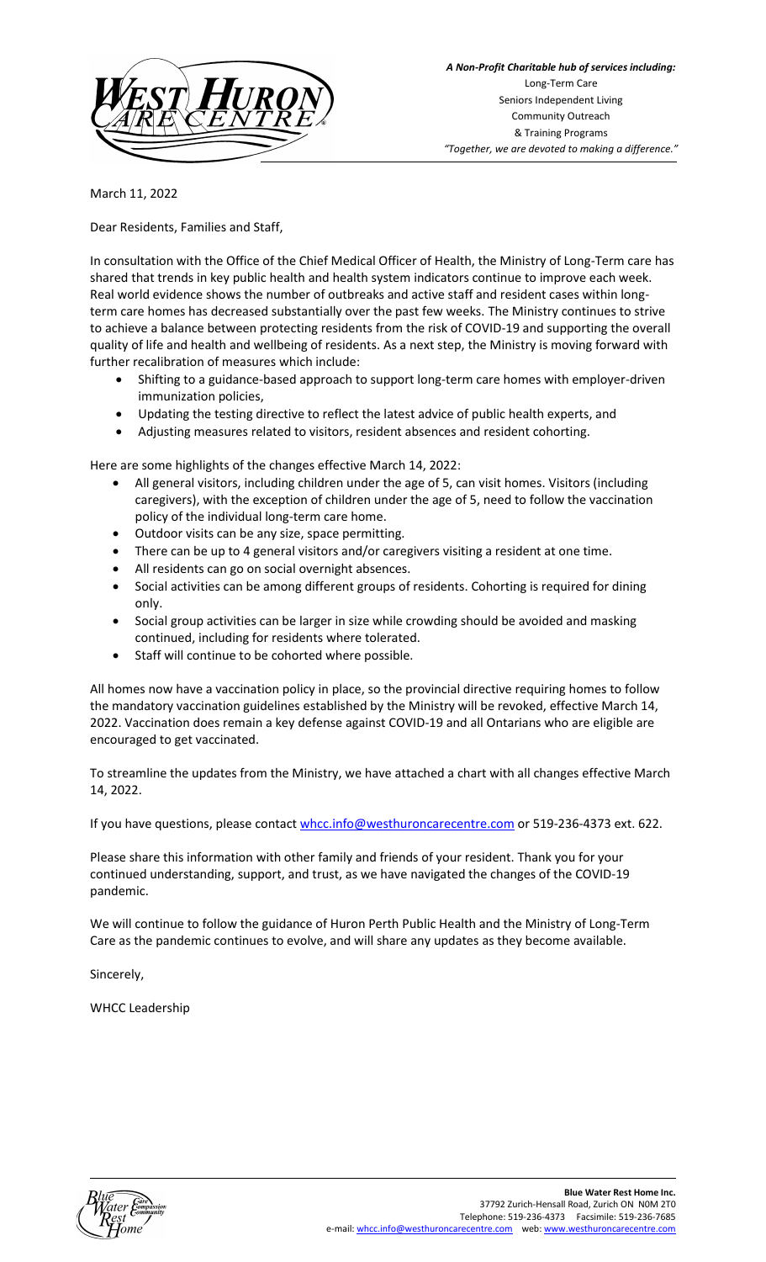

March 11, 2022

Dear Residents, Families and Staff,

In consultation with the Office of the Chief Medical Officer of Health, the Ministry of Long-Term care has shared that trends in key public health and health system indicators continue to improve each week. Real world evidence shows the number of outbreaks and active staff and resident cases within longterm care homes has decreased substantially over the past few weeks. The Ministry continues to strive to achieve a balance between protecting residents from the risk of COVID-19 and supporting the overall quality of life and health and wellbeing of residents. As a next step, the Ministry is moving forward with further recalibration of measures which include:

- Shifting to a guidance-based approach to support long-term care homes with employer-driven immunization policies,
- Updating the testing directive to reflect the latest advice of public health experts, and
- Adjusting measures related to visitors, resident absences and resident cohorting.

Here are some highlights of the changes effective March 14, 2022:

- All general visitors, including children under the age of 5, can visit homes. Visitors (including caregivers), with the exception of children under the age of 5, need to follow the vaccination policy of the individual long-term care home.
- Outdoor visits can be any size, space permitting.
- There can be up to 4 general visitors and/or caregivers visiting a resident at one time.
- All residents can go on social overnight absences.
- Social activities can be among different groups of residents. Cohorting is required for dining only.
- Social group activities can be larger in size while crowding should be avoided and masking continued, including for residents where tolerated.
- Staff will continue to be cohorted where possible.

All homes now have a vaccination policy in place, so the provincial directive requiring homes to follow the mandatory vaccination guidelines established by the Ministry will be revoked, effective March 14, 2022. Vaccination does remain a key defense against COVID-19 and all Ontarians who are eligible are encouraged to get vaccinated.

To streamline the updates from the Ministry, we have attached a chart with all changes effective March 14, 2022.

If you have questions, please contac[t whcc.info@westhuroncarecentre.com](mailto:whcc.info@westhuroncarecentre.com) or 519-236-4373 ext. 622.

Please share this information with other family and friends of your resident. Thank you for your continued understanding, support, and trust, as we have navigated the changes of the COVID-19 pandemic.

We will continue to follow the guidance of Huron Perth Public Health and the Ministry of Long-Term Care as the pandemic continues to evolve, and will share any updates as they become available.

Sincerely,

WHCC Leadership

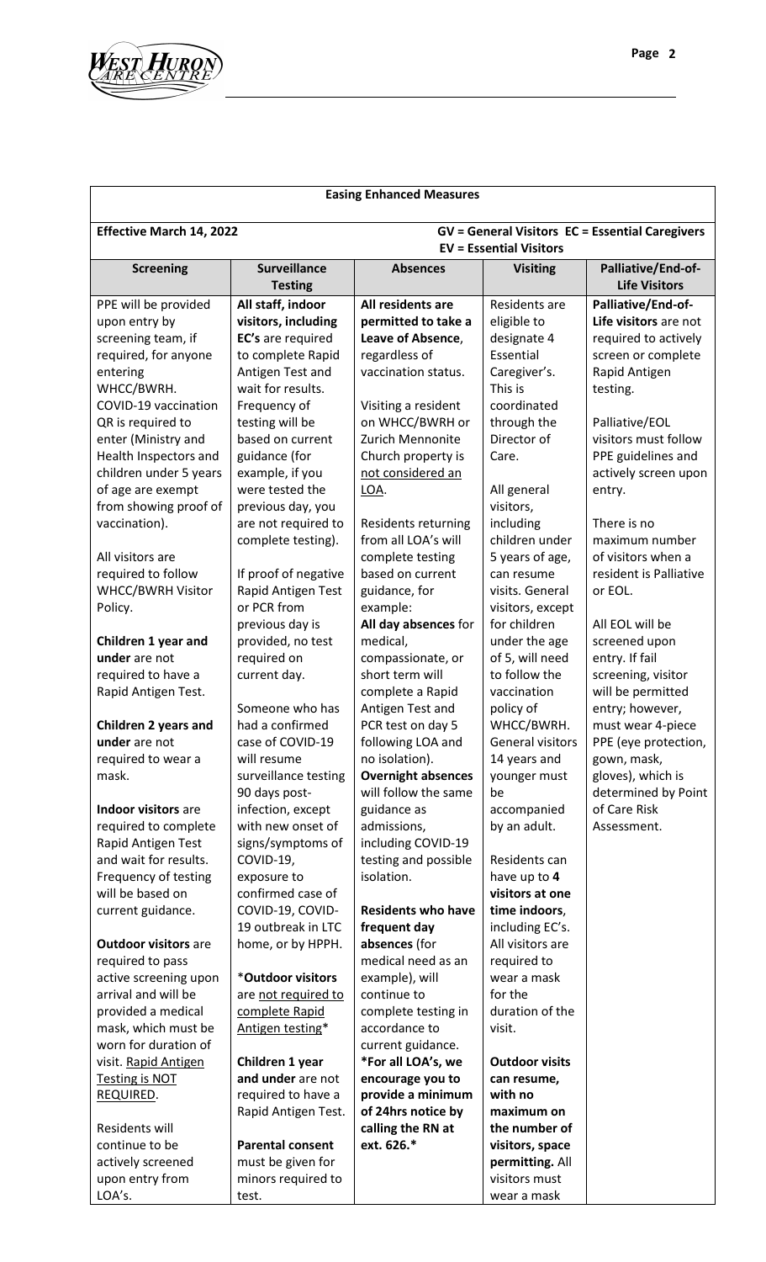

## **Easing Enhanced Measures Effective March 14, 2022 GV = General Visitors EC = Essential Caregivers EV = Essential Visitors Screening Surveillance Testing Absences Visiting Palliative/End-of-Life Visitors** PPE will be provided upon entry by screening team, if required, for anyone entering WHCC/BWRH. COVID-19 vaccination QR is required to enter (Ministry and Health Inspectors and children under 5 years of age are exempt from showing proof of vaccination). All visitors are required to follow WHCC/BWRH Visitor Policy. **Children 1 year and under** are not required to have a Rapid Antigen Test. **Children 2 years and under** are not required to wear a mask. **Indoor visitors** are required to complete Rapid Antigen Test and wait for results. Frequency of testing will be based on current guidance. **Outdoor visitors** are required to pass active screening upon arrival and will be provided a medical mask, which must be worn for duration of visit. Rapid Antigen Testing is NOT REQUIRED. Residents will continue to be actively screened upon entry from LOA's. **All staff, indoor visitors, including EC's** are required to complete Rapid Antigen Test and wait for results. Frequency of testing will be based on current guidance (for example, if you were tested the previous day, you are not required to complete testing). If proof of negative Rapid Antigen Test or PCR from previous day is provided, no test required on current day. Someone who has had a confirmed case of COVID-19 will resume surveillance testing 90 days postinfection, except with new onset of signs/symptoms of COVID-19, exposure to confirmed case of COVID-19, COVID-19 outbreak in LTC home, or by HPPH. \***Outdoor visitors** are not required to complete Rapid Antigen testing\* **Children 1 year and under** are not required to have a Rapid Antigen Test. **Parental consent** must be given for minors required to test. **All residents are permitted to take a Leave of Absence**, regardless of vaccination status. Visiting a resident on WHCC/BWRH or Zurich Mennonite Church property is not considered an LOA. Residents returning from all LOA's will complete testing based on current guidance, for example: **All day absences** for medical, compassionate, or short term will complete a Rapid Antigen Test and PCR test on day 5 following LOA and no isolation). **Overnight absences** will follow the same guidance as admissions, including COVID-19 testing and possible isolation. **Residents who have frequent day absences** (for medical need as an example), will continue to complete testing in accordance to current guidance. **\*For all LOA's, we encourage you to provide a minimum of 24hrs notice by calling the RN at ext. 626.\*** Residents are eligible to designate 4 Essential Caregiver's. This is coordinated through the Director of Care. All general visitors, including children under 5 years of age, can resume visits. General visitors, except for children under the age of 5, will need to follow the vaccination policy of WHCC/BWRH. General visitors 14 years and younger must be accompanied by an adult. Residents can have up to **4 visitors at one time indoors**, including EC's. All visitors are required to wear a mask for the duration of the visit. **Outdoor visits can resume, with no maximum on the number of visitors, space permitting.** All visitors must wear a mask **Palliative/End-of-Life visitors** are not required to actively screen or complete Rapid Antigen testing. Palliative/EOL visitors must follow PPE guidelines and actively screen upon entry. There is no maximum number of visitors when a resident is Palliative or EOL. All EOL will be screened upon entry. If fail screening, visitor will be permitted entry; however, must wear 4-piece PPE (eye protection, gown, mask, gloves), which is determined by Point of Care Risk Assessment.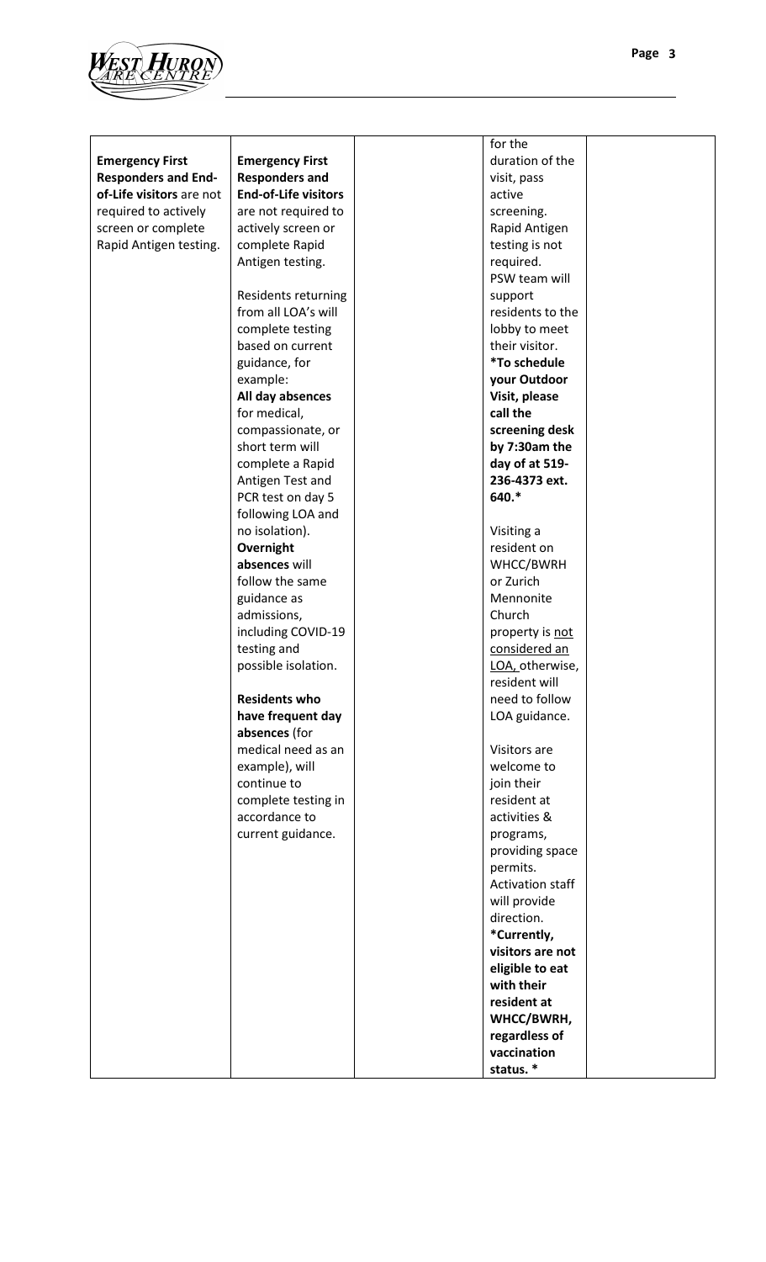

|                            |                             | for the          |  |
|----------------------------|-----------------------------|------------------|--|
| <b>Emergency First</b>     | <b>Emergency First</b>      | duration of the  |  |
| <b>Responders and End-</b> | <b>Responders and</b>       | visit, pass      |  |
| of-Life visitors are not   | <b>End-of-Life visitors</b> | active           |  |
| required to actively       | are not required to         | screening.       |  |
| screen or complete         | actively screen or          | Rapid Antigen    |  |
| Rapid Antigen testing.     | complete Rapid              | testing is not   |  |
|                            | Antigen testing.            | required.        |  |
|                            |                             | PSW team will    |  |
|                            | Residents returning         | support          |  |
|                            | from all LOA's will         | residents to the |  |
|                            | complete testing            | lobby to meet    |  |
|                            | based on current            | their visitor.   |  |
|                            | guidance, for               | *To schedule     |  |
|                            | example:                    | your Outdoor     |  |
|                            | All day absences            | Visit, please    |  |
|                            | for medical,                | call the         |  |
|                            | compassionate, or           | screening desk   |  |
|                            | short term will             | by 7:30am the    |  |
|                            | complete a Rapid            | day of at 519-   |  |
|                            | Antigen Test and            | 236-4373 ext.    |  |
|                            | PCR test on day 5           | 640.*            |  |
|                            | following LOA and           |                  |  |
|                            | no isolation).              | Visiting a       |  |
|                            |                             | resident on      |  |
|                            | Overnight                   |                  |  |
|                            | absences will               | WHCC/BWRH        |  |
|                            | follow the same             | or Zurich        |  |
|                            | guidance as                 | Mennonite        |  |
|                            | admissions,                 | Church           |  |
|                            | including COVID-19          | property is not  |  |
|                            | testing and                 | considered an    |  |
|                            | possible isolation.         | LOA, otherwise,  |  |
|                            |                             | resident will    |  |
|                            | <b>Residents who</b>        | need to follow   |  |
|                            | have frequent day           | LOA guidance.    |  |
|                            | absences (for               |                  |  |
|                            | medical need as an          | Visitors are     |  |
|                            | example), will              | welcome to       |  |
|                            | continue to                 | join their       |  |
|                            | complete testing in         | resident at      |  |
|                            | accordance to               | activities &     |  |
|                            | current guidance.           | programs,        |  |
|                            |                             | providing space  |  |
|                            |                             | permits.         |  |
|                            |                             | Activation staff |  |
|                            |                             | will provide     |  |
|                            |                             | direction.       |  |
|                            |                             | *Currently,      |  |
|                            |                             | visitors are not |  |
|                            |                             | eligible to eat  |  |
|                            |                             | with their       |  |
|                            |                             | resident at      |  |
|                            |                             | WHCC/BWRH,       |  |
|                            |                             | regardless of    |  |
|                            |                             | vaccination      |  |
|                            |                             | status.*         |  |
|                            |                             |                  |  |